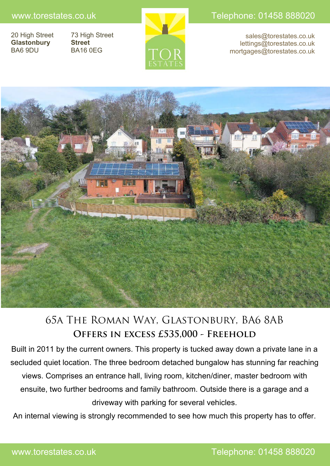**Glastonbury Street**

20 High Street 73 High Street BA6 9DU BA16 0EG



www.torestates.co.uk Telephone: 01458 888020

sales@torestates.co.uk lettings@torestates.co.uk mortgages@torestates.co.uk



# 65a The Roman Way, Glastonbury, BA6 8AB **Offers in excess £535,000 - Freehold**

Built in 2011 by the current owners. This property is tucked away down a private lane in a secluded quiet location. The three bedroom detached bungalow has stunning far reaching views. Comprises an entrance hall, living room, kitchen/diner, master bedroom with ensuite, two further bedrooms and family bathroom. Outside there is a garage and a driveway with parking for several vehicles.

An internal viewing is strongly recommended to see how much this property has to offer.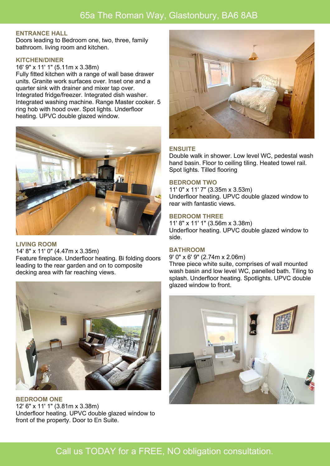# 65a The Roman Way, Glastonbury, BA6 8AB

### **ENTRANCE HALL**

Doors leading to Bedroom one, two, three, family bathroom. living room and kitchen.

### **KITCHEN/DINER**

16' 9" x 11' 1" (5.11m x 3.38m)

Fully fitted kitchen with a range of wall base drawer units. Granite work surfaces over. Inset one and a quarter sink with drainer and mixer tap over. Integrated fridge/freezer. Integrated dish washer. Integrated washing machine. Range Master cooker. 5 ring hob with hood over. Spot lights. Underfloor heating. UPVC double glazed window.



#### **LIVING ROOM**

14' 8" x 11' 0" (4.47m x 3.35m) Feature fireplace. Underfloor heating. Bi folding doors leading to the rear garden and on to composite decking area with far reaching views.



**BEDROOM ONE** 12' 6" x 11' 1" (3.81m x 3.38m) Underfloor heating. UPVC double glazed window to front of the property. Door to En Suite.



### **ENSUITE**

Double walk in shower. Low level WC, pedestal wash hand basin. Floor to ceiling tiling. Heated towel rail. Spot lights. Tilled flooring

### **BEDROOM TWO**

11' 0" x 11' 7" (3.35m x 3.53m) Underfloor heating. UPVC double glazed window to rear with fantastic views.

#### **BEDROOM THREE**

11' 8" x 11' 1" (3.56m x 3.38m) Underfloor heating. UPVC double glazed window to side.

### **BATHROOM**

9' 0" x 6' 9" (2.74m x 2.06m)

Three piece white suite, comprises of wall mounted wash basin and low level WC, panelled bath. Tiling to splash. Underfloor heating. Spotlights. UPVC double glazed window to front.



# Call us TODAY for a FREE, NO obligation consultation.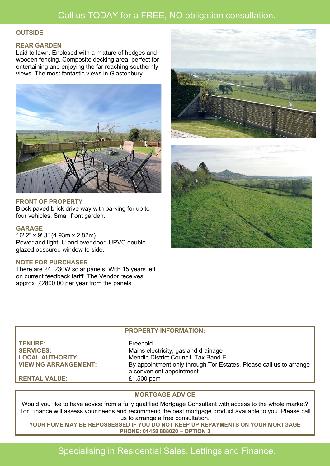# Call us TODAY for a FREE, NO obligation consultation.

### **OUTSIDE**

### **REAR GARDEN**

Laid to lawn. Enclosed with a mixture of hedges and wooden fencing. Composite decking area, perfect for entertaining and enjoying the far reaching southernly views. The most fantastic views in Glastonbury.



### **FRONT OF PROPERTY**

Block paved brick drive way with parking for up to four vehicles. Small front garden.

### **GARAGE**

16' 2" x 9' 3" (4.93m x 2.82m) Power and light. U and over door. UPVC double glazed obscured window to side.

### **NOTE FOR PURCHASER**

There are 24, 230W solar panels. With 15 years left on current feedback tariff. The Vendor receives approx. £2800.00 per year from the panels.





## **PROPERTY INFORMATION:**

**TENURE:** Freehold

SERVICES: Mains electricity, gas and drainage **LOCAL AUTHORITY:** Mendip District Council. Tax Band E. **VIEWING ARRANGEMENT:** By appointment only through Tor Estates. Please call us to arrange a convenient appointment. **RENTAL VALUE:** £1,500 pcm

## **MORTGAGE ADVICE**

Would you like to have advice from a fully qualified Mortgage Consultant with access to the whole market? Tor Finance will assess your needs and recommend the best mortgage product available to you. Please call us to arrange a free consultation.

**YOUR HOME MAY BE REPOSSESSED IF YOU DO NOT KEEP UP REPAYMENTS ON YOUR MORTGAGE PHONE: 01458 888020 – OPTION 3**

# Specialising in Residential Sales, Lettings and Finance.